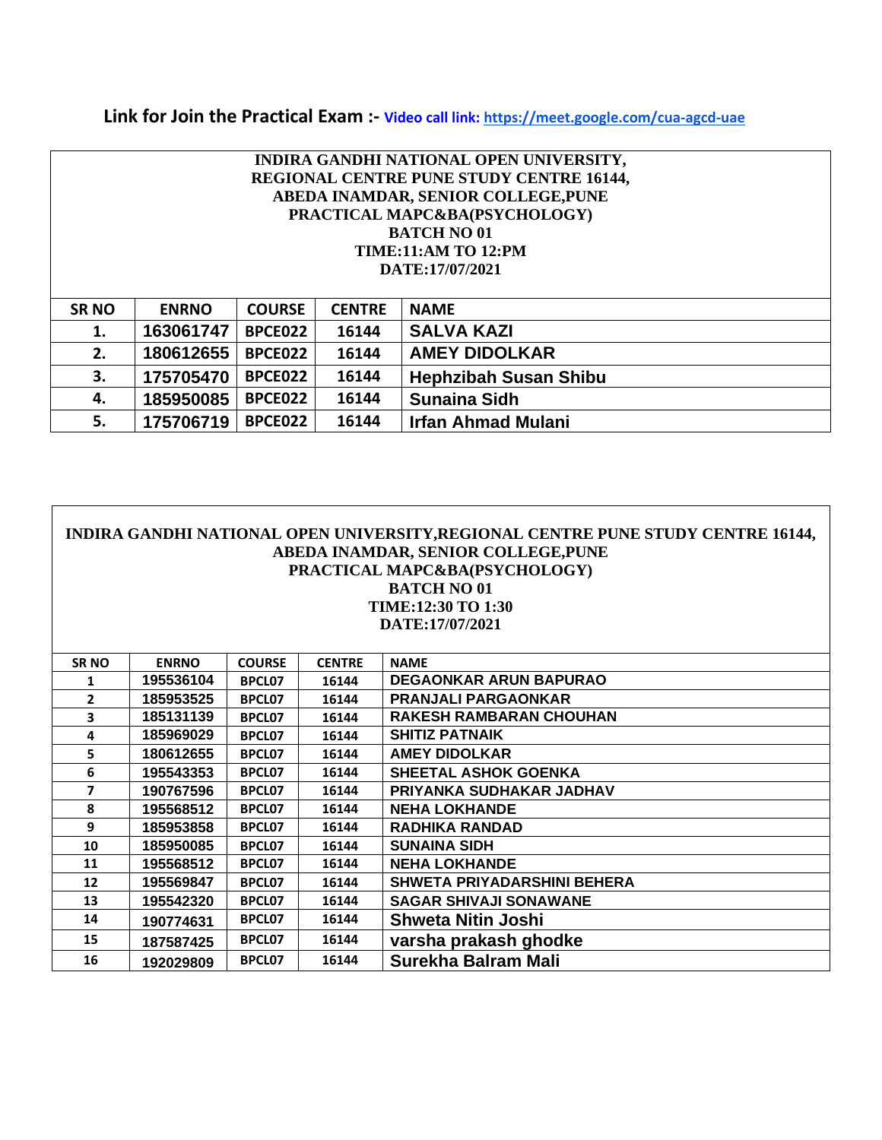# **Link for Join the Practical Exam :- Video call link: <https://meet.google.com/cua-agcd-uae>**

|                                            | INDIRA GANDHI NATIONAL OPEN UNIVERSITY,                                                |                |               |                               |  |  |  |  |
|--------------------------------------------|----------------------------------------------------------------------------------------|----------------|---------------|-------------------------------|--|--|--|--|
|                                            | <b>REGIONAL CENTRE PUNE STUDY CENTRE 16144,</b><br>ABEDA INAMDAR, SENIOR COLLEGE, PUNE |                |               |                               |  |  |  |  |
|                                            |                                                                                        |                |               |                               |  |  |  |  |
|                                            |                                                                                        |                |               | PRACTICAL MAPC&BA(PSYCHOLOGY) |  |  |  |  |
|                                            |                                                                                        |                |               | <b>BATCH NO 01</b>            |  |  |  |  |
|                                            |                                                                                        |                |               | <b>TIME:11:AM TO 12:PM</b>    |  |  |  |  |
|                                            |                                                                                        |                |               | DATE:17/07/2021               |  |  |  |  |
|                                            |                                                                                        |                |               |                               |  |  |  |  |
| <b>SRNO</b>                                | <b>ENRNO</b>                                                                           | <b>COURSE</b>  | <b>CENTRE</b> | <b>NAME</b>                   |  |  |  |  |
| 1.                                         | 163061747                                                                              | BPCE022        | 16144         | <b>SALVA KAZI</b>             |  |  |  |  |
| 2.                                         | 180612655<br>BPCE022<br>16144                                                          |                |               | <b>AMEY DIDOLKAR</b>          |  |  |  |  |
| 3.<br><b>BPCE022</b><br>16144<br>175705470 |                                                                                        |                |               | <b>Hephzibah Susan Shibu</b>  |  |  |  |  |
| 4.                                         | 185950085                                                                              | <b>BPCE022</b> | 16144         | <b>Sunaina Sidh</b>           |  |  |  |  |
| 5.                                         | 175706719                                                                              | BPCE022        | 16144         | <b>Irfan Ahmad Mulani</b>     |  |  |  |  |

| INDIRA GANDHI NATIONAL OPEN UNIVERSITY, REGIONAL CENTRE PUNE STUDY CENTRE 16144,<br>ABEDA INAMDAR, SENIOR COLLEGE, PUNE<br>PRACTICAL MAPC&BA(PSYCHOLOGY)<br><b>BATCH NO 01</b><br><b>TIME:12:30 TO 1:30</b><br>DATE:17/07/2021 |           |               |       |                                    |  |  |  |
|--------------------------------------------------------------------------------------------------------------------------------------------------------------------------------------------------------------------------------|-----------|---------------|-------|------------------------------------|--|--|--|
| <b>ENRNO</b><br><b>COURSE</b><br><b>CENTRE</b><br><b>NAME</b><br><b>SRNO</b>                                                                                                                                                   |           |               |       |                                    |  |  |  |
| 1                                                                                                                                                                                                                              | 195536104 | <b>BPCL07</b> | 16144 | <b>DEGAONKAR ARUN BAPURAO</b>      |  |  |  |
| $\overline{2}$                                                                                                                                                                                                                 | 185953525 | <b>BPCL07</b> | 16144 | <b>PRANJALI PARGAONKAR</b>         |  |  |  |
| 3                                                                                                                                                                                                                              | 185131139 | BPCL07        | 16144 | <b>RAKESH RAMBARAN CHOUHAN</b>     |  |  |  |
| 4                                                                                                                                                                                                                              | 185969029 | <b>BPCL07</b> | 16144 | <b>SHITIZ PATNAIK</b>              |  |  |  |
| 5                                                                                                                                                                                                                              | 180612655 | BPCL07        | 16144 | <b>AMEY DIDOLKAR</b>               |  |  |  |
| 6                                                                                                                                                                                                                              | 195543353 | <b>BPCL07</b> | 16144 | <b>SHEETAL ASHOK GOENKA</b>        |  |  |  |
| $\overline{\phantom{a}}$                                                                                                                                                                                                       | 190767596 | BPCL07        | 16144 | PRIYANKA SUDHAKAR JADHAV           |  |  |  |
| 8                                                                                                                                                                                                                              | 195568512 | <b>BPCL07</b> | 16144 | <b>NEHA LOKHANDE</b>               |  |  |  |
| 9                                                                                                                                                                                                                              | 185953858 | <b>BPCL07</b> | 16144 | <b>RADHIKA RANDAD</b>              |  |  |  |
| 10                                                                                                                                                                                                                             | 185950085 | <b>BPCL07</b> | 16144 | <b>SUNAINA SIDH</b>                |  |  |  |
| 11                                                                                                                                                                                                                             | 195568512 | <b>BPCL07</b> | 16144 | <b>NEHA LOKHANDE</b>               |  |  |  |
| 12                                                                                                                                                                                                                             | 195569847 | BPCL07        | 16144 | <b>SHWETA PRIYADARSHINI BEHERA</b> |  |  |  |
| 13                                                                                                                                                                                                                             | 195542320 | <b>BPCL07</b> | 16144 | <b>SAGAR SHIVAJI SONAWANE</b>      |  |  |  |
| 14                                                                                                                                                                                                                             | 190774631 | BPCL07        | 16144 | <b>Shweta Nitin Joshi</b>          |  |  |  |
| 15                                                                                                                                                                                                                             | 187587425 | BPCL07        | 16144 | varsha prakash ghodke              |  |  |  |
| 16                                                                                                                                                                                                                             | 192029809 | BPCL07        | 16144 | Surekha Balram Mali                |  |  |  |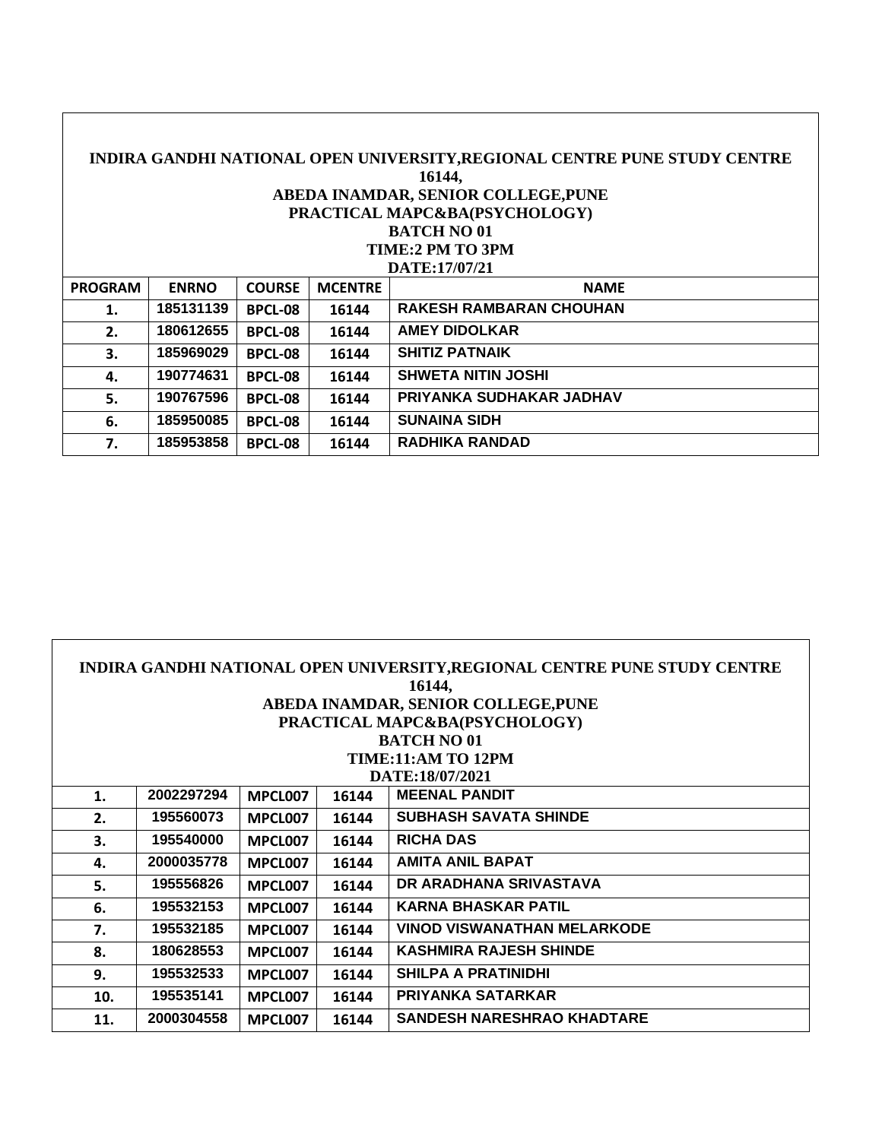| INDIRA GANDHI NATIONAL OPEN UNIVERSITY, REGIONAL CENTRE PUNE STUDY CENTRE |              |                |                |                                     |  |  |  |  |
|---------------------------------------------------------------------------|--------------|----------------|----------------|-------------------------------------|--|--|--|--|
| 16144,                                                                    |              |                |                |                                     |  |  |  |  |
|                                                                           |              |                |                | ABEDA INAMDAR, SENIOR COLLEGE, PUNE |  |  |  |  |
|                                                                           |              |                |                | PRACTICAL MAPC&BA(PSYCHOLOGY)       |  |  |  |  |
|                                                                           |              |                |                | <b>BATCH NO 01</b>                  |  |  |  |  |
|                                                                           |              |                |                | TIME:2 PM TO 3PM                    |  |  |  |  |
|                                                                           |              |                |                | DATE:17/07/21                       |  |  |  |  |
| PROGRAM                                                                   | <b>ENRNO</b> | <b>COURSE</b>  | <b>MCENTRE</b> | <b>NAME</b>                         |  |  |  |  |
| 1.                                                                        | 185131139    | <b>BPCL-08</b> | 16144          | <b>RAKESH RAMBARAN CHOUHAN</b>      |  |  |  |  |
| 2.                                                                        | 180612655    | <b>BPCL-08</b> | 16144          | <b>AMEY DIDOLKAR</b>                |  |  |  |  |
| 3.                                                                        | 185969029    | <b>BPCL-08</b> | 16144          | <b>SHITIZ PATNAIK</b>               |  |  |  |  |
| 4.                                                                        | 190774631    | <b>BPCL-08</b> | 16144          | <b>SHWETA NITIN JOSHI</b>           |  |  |  |  |
| 5.                                                                        | 190767596    | <b>BPCL-08</b> | 16144          | PRIYANKA SUDHAKAR JADHAV            |  |  |  |  |
| 6.                                                                        | 185950085    | <b>BPCL-08</b> | 16144          | <b>SUNAINA SIDH</b>                 |  |  |  |  |
| 7.                                                                        | 185953858    | <b>BPCL-08</b> | 16144          | <b>RADHIKA RANDAD</b>               |  |  |  |  |

| INDIRA GANDHI NATIONAL OPEN UNIVERSITY, REGIONAL CENTRE PUNE STUDY CENTRE<br>16144, |                                     |         |       |                                    |  |  |  |  |
|-------------------------------------------------------------------------------------|-------------------------------------|---------|-------|------------------------------------|--|--|--|--|
|                                                                                     | ABEDA INAMDAR, SENIOR COLLEGE, PUNE |         |       |                                    |  |  |  |  |
|                                                                                     | PRACTICAL MAPC&BA(PSYCHOLOGY)       |         |       |                                    |  |  |  |  |
|                                                                                     |                                     |         |       | <b>BATCH NO 01</b>                 |  |  |  |  |
|                                                                                     |                                     |         |       | <b>TIME:11:AM TO 12PM</b>          |  |  |  |  |
|                                                                                     |                                     |         |       | DATE:18/07/2021                    |  |  |  |  |
| 1.                                                                                  | 2002297294                          | MPCL007 | 16144 | <b>MEENAL PANDIT</b>               |  |  |  |  |
| 2.                                                                                  | 195560073                           | MPCL007 | 16144 | <b>SUBHASH SAVATA SHINDE</b>       |  |  |  |  |
| 3.                                                                                  | 195540000                           | MPCL007 | 16144 | <b>RICHA DAS</b>                   |  |  |  |  |
| 4.                                                                                  | 2000035778                          | MPCL007 | 16144 | <b>AMITA ANIL BAPAT</b>            |  |  |  |  |
| 5.                                                                                  | 195556826                           | MPCL007 | 16144 | DR ARADHANA SRIVASTAVA             |  |  |  |  |
| 6.                                                                                  | 195532153                           | MPCL007 | 16144 | <b>KARNA BHASKAR PATIL</b>         |  |  |  |  |
| 7.                                                                                  | 195532185                           | MPCL007 | 16144 | <b>VINOD VISWANATHAN MELARKODE</b> |  |  |  |  |
| 8.                                                                                  | 180628553                           | MPCL007 | 16144 | <b>KASHMIRA RAJESH SHINDE</b>      |  |  |  |  |
| 9.                                                                                  | 195532533                           | MPCL007 | 16144 | <b>SHILPA A PRATINIDHI</b>         |  |  |  |  |
| 10.                                                                                 | 195535141                           | MPCL007 | 16144 | <b>PRIYANKA SATARKAR</b>           |  |  |  |  |
| 11.                                                                                 | 2000304558                          | MPCL007 | 16144 | <b>SANDESH NARESHRAO KHADTARE</b>  |  |  |  |  |

 $\Gamma$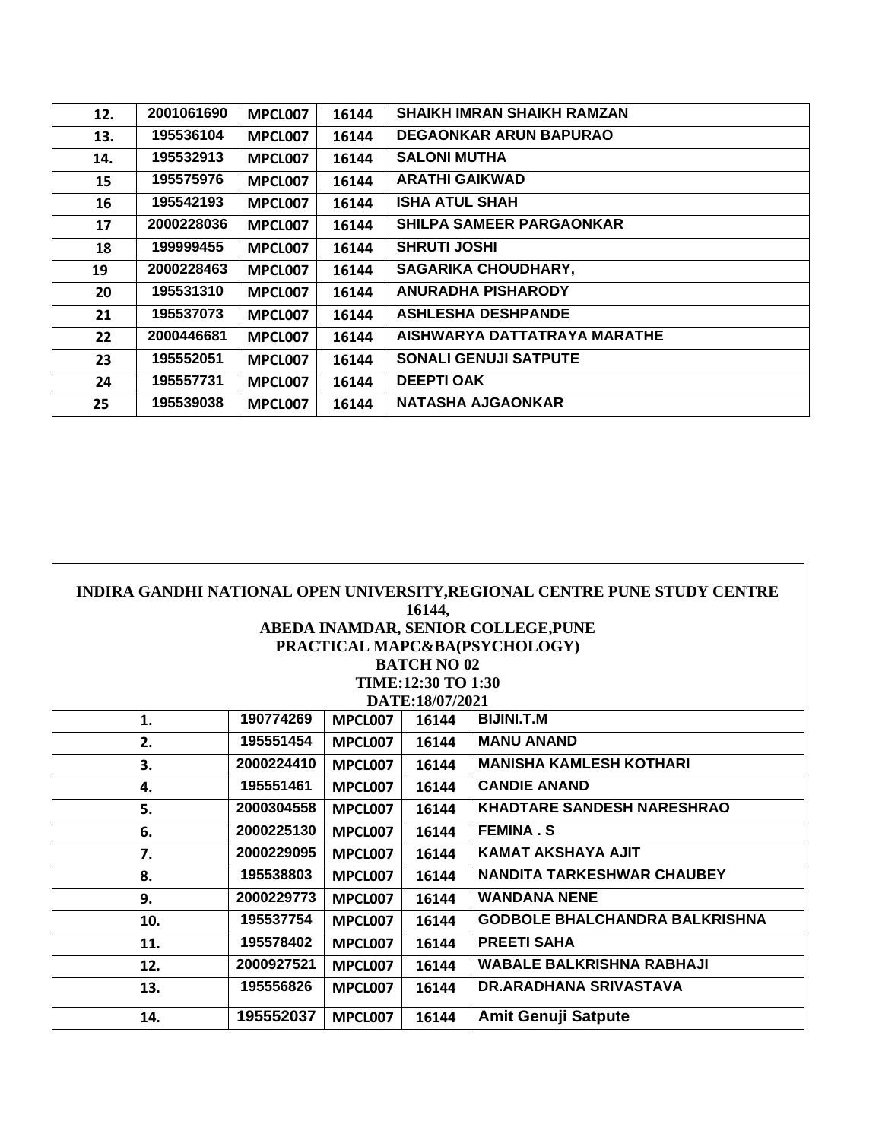| 12. | 2001061690 | MPCL007 | 16144 | <b>SHAIKH IMRAN SHAIKH RAMZAN</b> |
|-----|------------|---------|-------|-----------------------------------|
| 13. | 195536104  | MPCL007 | 16144 | <b>DEGAONKAR ARUN BAPURAO</b>     |
| 14. | 195532913  | MPCL007 | 16144 | <b>SALONI MUTHA</b>               |
| 15  | 195575976  | MPCL007 | 16144 | <b>ARATHI GAIKWAD</b>             |
| 16  | 195542193  | MPCL007 | 16144 | <b>ISHA ATUL SHAH</b>             |
| 17  | 2000228036 | MPCL007 | 16144 | <b>SHILPA SAMEER PARGAONKAR</b>   |
| 18  | 199999455  | MPCL007 | 16144 | <b>SHRUTI JOSHI</b>               |
| 19  | 2000228463 | MPCL007 | 16144 | <b>SAGARIKA CHOUDHARY,</b>        |
| 20  | 195531310  | MPCL007 | 16144 | <b>ANURADHA PISHARODY</b>         |
| 21  | 195537073  | MPCL007 | 16144 | <b>ASHLESHA DESHPANDE</b>         |
| 22  | 2000446681 | MPCL007 | 16144 | AISHWARYA DATTATRAYA MARATHE      |
| 23  | 195552051  | MPCL007 | 16144 | <b>SONALI GENUJI SATPUTE</b>      |
| 24  | 195557731  | MPCL007 | 16144 | <b>DEEPTI OAK</b>                 |
| 25  | 195539038  | MPCL007 | 16144 | <b>NATASHA AJGAONKAR</b>          |

| INDIRA GANDHI NATIONAL OPEN UNIVERSITY, REGIONAL CENTRE PUNE STUDY CENTRE |                                     |         |                    |                                       |  |  |  |  |  |
|---------------------------------------------------------------------------|-------------------------------------|---------|--------------------|---------------------------------------|--|--|--|--|--|
| 16144,                                                                    |                                     |         |                    |                                       |  |  |  |  |  |
|                                                                           | ABEDA INAMDAR, SENIOR COLLEGE, PUNE |         |                    |                                       |  |  |  |  |  |
|                                                                           |                                     |         |                    | PRACTICAL MAPC&BA(PSYCHOLOGY)         |  |  |  |  |  |
|                                                                           |                                     |         | <b>BATCH NO 02</b> |                                       |  |  |  |  |  |
|                                                                           |                                     |         | TIME:12:30 TO 1:30 |                                       |  |  |  |  |  |
|                                                                           |                                     |         | DATE:18/07/2021    |                                       |  |  |  |  |  |
| 1.                                                                        | 190774269                           | MPCL007 | 16144              | <b>BIJINI.T.M</b>                     |  |  |  |  |  |
| 2.                                                                        | 195551454                           | MPCL007 | 16144              | <b>MANU ANAND</b>                     |  |  |  |  |  |
| 3.                                                                        | 2000224410                          | MPCL007 | 16144              | <b>MANISHA KAMLESH KOTHARI</b>        |  |  |  |  |  |
| 4.                                                                        | 195551461                           | MPCL007 | 16144              | <b>CANDIE ANAND</b>                   |  |  |  |  |  |
| 5.                                                                        | 2000304558                          | MPCL007 | 16144              | <b>KHADTARE SANDESH NARESHRAO</b>     |  |  |  |  |  |
| 6.                                                                        | 2000225130                          | MPCL007 | 16144              | <b>FEMINA.S</b>                       |  |  |  |  |  |
| 7.                                                                        | 2000229095                          | MPCL007 | 16144              | <b>KAMAT AKSHAYA AJIT</b>             |  |  |  |  |  |
| 8.                                                                        | 195538803                           | MPCL007 | 16144              | <b>NANDITA TARKESHWAR CHAUBEY</b>     |  |  |  |  |  |
| 9.                                                                        | 2000229773                          | MPCL007 | 16144              | <b>WANDANA NENE</b>                   |  |  |  |  |  |
| 10.                                                                       | 195537754                           | MPCL007 | 16144              | <b>GODBOLE BHALCHANDRA BALKRISHNA</b> |  |  |  |  |  |
| 11.                                                                       | 195578402                           | MPCL007 | 16144              | <b>PREETI SAHA</b>                    |  |  |  |  |  |
| 12.                                                                       | 2000927521                          | MPCL007 | 16144              | <b>WABALE BALKRISHNA RABHAJI</b>      |  |  |  |  |  |
| 13.                                                                       | 195556826                           | MPCL007 | 16144              | <b>DR.ARADHANA SRIVASTAVA</b>         |  |  |  |  |  |
| 14.                                                                       | 195552037                           | MPCL007 | 16144              | <b>Amit Genuji Satpute</b>            |  |  |  |  |  |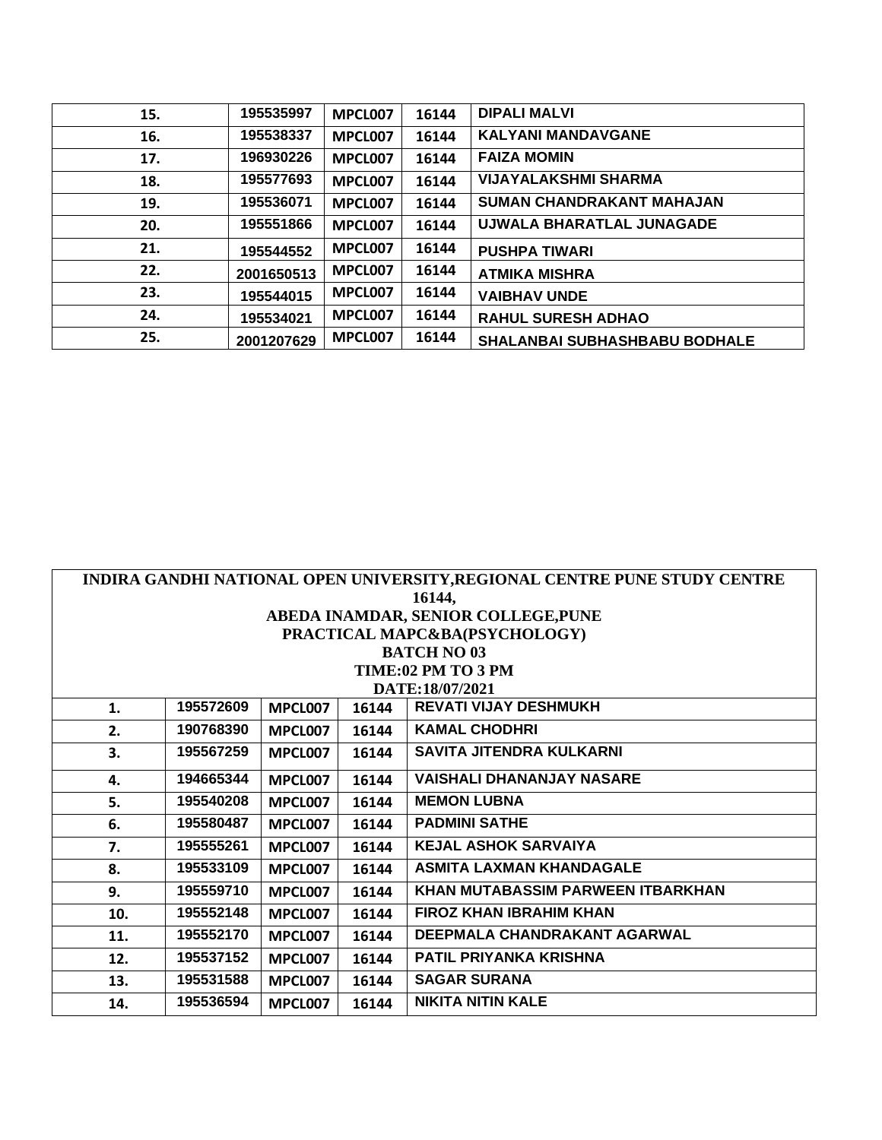| 15. | 195535997  | MPCL007 | 16144 | <b>DIPALI MALVI</b>                  |
|-----|------------|---------|-------|--------------------------------------|
| 16. | 195538337  | MPCL007 | 16144 | <b>KALYANI MANDAVGANE</b>            |
| 17. | 196930226  | MPCL007 | 16144 | <b>FAIZA MOMIN</b>                   |
| 18. | 195577693  | MPCL007 | 16144 | <b>VIJAYALAKSHMI SHARMA</b>          |
| 19. | 195536071  | MPCL007 | 16144 | SUMAN CHANDRAKANT MAHAJAN            |
| 20. | 195551866  | MPCL007 | 16144 | UJWALA BHARATLAL JUNAGADE            |
| 21. | 195544552  | MPCL007 | 16144 | <b>PUSHPA TIWARI</b>                 |
| 22. | 2001650513 | MPCL007 | 16144 | <b>ATMIKA MISHRA</b>                 |
| 23. | 195544015  | MPCL007 | 16144 | <b>VAIBHAV UNDE</b>                  |
| 24. | 195534021  | MPCL007 | 16144 | <b>RAHUL SURESH ADHAO</b>            |
| 25. | 2001207629 | MPCL007 | 16144 | <b>SHALANBAI SUBHASHBABU BODHALE</b> |

| INDIRA GANDHI NATIONAL OPEN UNIVERSITY, REGIONAL CENTRE PUNE STUDY CENTRE |           |         |       |                                   |  |  |  |
|---------------------------------------------------------------------------|-----------|---------|-------|-----------------------------------|--|--|--|
| 16144,                                                                    |           |         |       |                                   |  |  |  |
| ABEDA INAMDAR, SENIOR COLLEGE, PUNE                                       |           |         |       |                                   |  |  |  |
|                                                                           |           |         |       | PRACTICAL MAPC&BA(PSYCHOLOGY)     |  |  |  |
|                                                                           |           |         |       | <b>BATCH NO 03</b>                |  |  |  |
|                                                                           |           |         |       | TIME:02 PM TO 3 PM                |  |  |  |
|                                                                           |           |         |       | DATE:18/07/2021                   |  |  |  |
| 1.                                                                        | 195572609 | MPCL007 | 16144 | <b>REVATI VIJAY DESHMUKH</b>      |  |  |  |
| 2.                                                                        | 190768390 | MPCL007 | 16144 | <b>KAMAL CHODHRI</b>              |  |  |  |
| 3.                                                                        | 195567259 | MPCL007 | 16144 | <b>SAVITA JITENDRA KULKARNI</b>   |  |  |  |
| 4.                                                                        | 194665344 | MPCL007 | 16144 | <b>VAISHALI DHANANJAY NASARE</b>  |  |  |  |
| 5.                                                                        | 195540208 | MPCL007 | 16144 | <b>MEMON LUBNA</b>                |  |  |  |
| 6.                                                                        | 195580487 | MPCL007 | 16144 | <b>PADMINI SATHE</b>              |  |  |  |
| 7.                                                                        | 195555261 | MPCL007 | 16144 | <b>KEJAL ASHOK SARVAIYA</b>       |  |  |  |
| 8.                                                                        | 195533109 | MPCL007 | 16144 | <b>ASMITA LAXMAN KHANDAGALE</b>   |  |  |  |
| 9.                                                                        | 195559710 | MPCL007 | 16144 | KHAN MUTABASSIM PARWEEN ITBARKHAN |  |  |  |
| 10.                                                                       | 195552148 | MPCL007 | 16144 | <b>FIROZ KHAN IBRAHIM KHAN</b>    |  |  |  |
| 11.                                                                       | 195552170 | MPCL007 | 16144 | DEEPMALA CHANDRAKANT AGARWAL      |  |  |  |
| 12.                                                                       | 195537152 | MPCL007 | 16144 | PATIL PRIYANKA KRISHNA            |  |  |  |
| 13.                                                                       | 195531588 | MPCL007 | 16144 | <b>SAGAR SURANA</b>               |  |  |  |
| 14.                                                                       | 195536594 | MPCL007 | 16144 | <b>NIKITA NITIN KALE</b>          |  |  |  |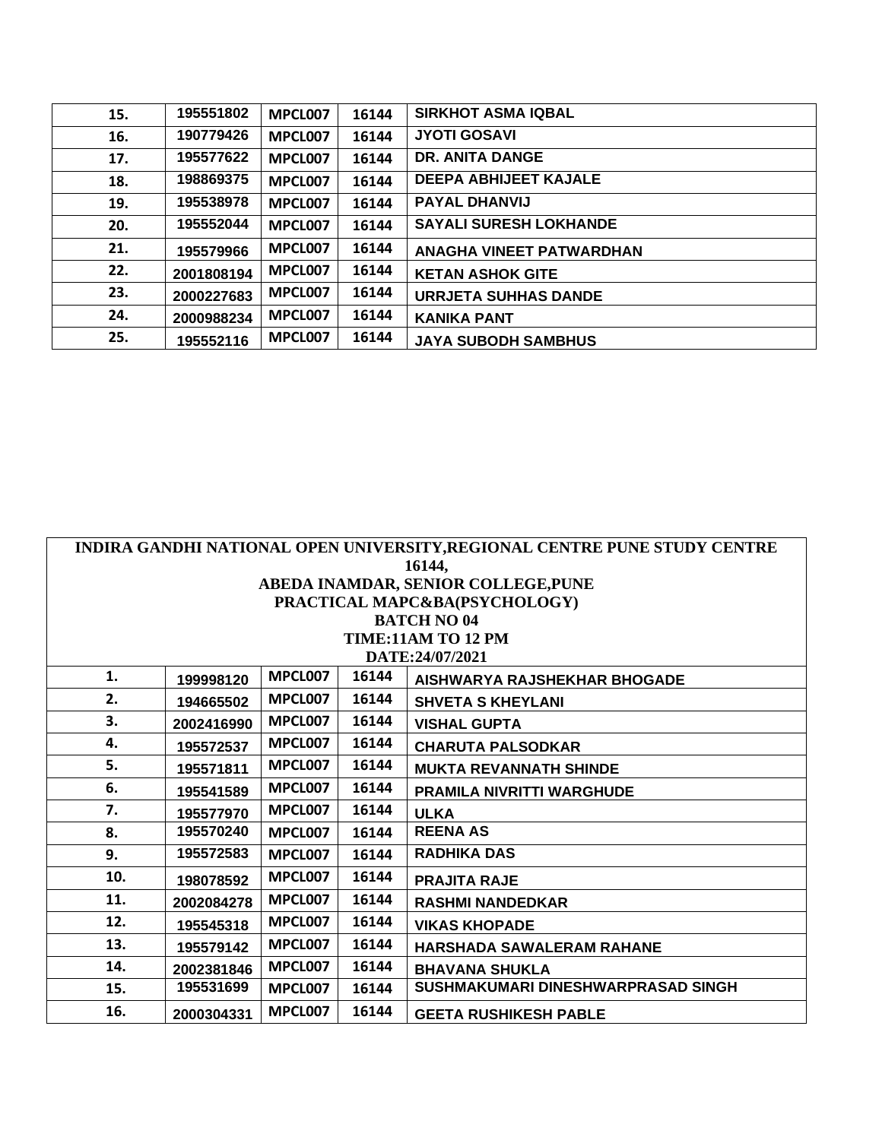| 15. | 195551802  | MPCL007 | 16144 | <b>SIRKHOT ASMA IQBAL</b>       |
|-----|------------|---------|-------|---------------------------------|
| 16. | 190779426  | MPCL007 | 16144 | <b>JYOTI GOSAVI</b>             |
| 17. | 195577622  | MPCL007 | 16144 | <b>DR. ANITA DANGE</b>          |
| 18. | 198869375  | MPCL007 | 16144 | <b>DEEPA ABHIJEET KAJALE</b>    |
| 19. | 195538978  | MPCL007 | 16144 | <b>PAYAL DHANVIJ</b>            |
| 20. | 195552044  | MPCL007 | 16144 | <b>SAYALI SURESH LOKHANDE</b>   |
| 21. | 195579966  | MPCL007 | 16144 | <b>ANAGHA VINEET PATWARDHAN</b> |
| 22. | 2001808194 | MPCL007 | 16144 | <b>KETAN ASHOK GITE</b>         |
| 23. | 2000227683 | MPCL007 | 16144 | <b>URRJETA SUHHAS DANDE</b>     |
| 24. | 2000988234 | MPCL007 | 16144 | <b>KANIKA PANT</b>              |
| 25. | 195552116  | MPCL007 | 16144 | <b>JAYA SUBODH SAMBHUS</b>      |

|        | INDIRA GANDHI NATIONAL OPEN UNIVERSITY, REGIONAL CENTRE PUNE STUDY CENTRE |         |       |                                    |  |  |  |  |
|--------|---------------------------------------------------------------------------|---------|-------|------------------------------------|--|--|--|--|
| 16144, |                                                                           |         |       |                                    |  |  |  |  |
|        | ABEDA INAMDAR, SENIOR COLLEGE, PUNE                                       |         |       |                                    |  |  |  |  |
|        |                                                                           |         |       | PRACTICAL MAPC&BA(PSYCHOLOGY)      |  |  |  |  |
|        |                                                                           |         |       | <b>BATCH NO 04</b>                 |  |  |  |  |
|        |                                                                           |         |       | <b>TIME:11AM TO 12 PM</b>          |  |  |  |  |
|        |                                                                           |         |       | DATE:24/07/2021                    |  |  |  |  |
| 1.     | 199998120                                                                 | MPCL007 | 16144 | AISHWARYA RAJSHEKHAR BHOGADE       |  |  |  |  |
| 2.     | 194665502                                                                 | MPCL007 | 16144 | <b>SHVETA S KHEYLANI</b>           |  |  |  |  |
| 3.     | 2002416990                                                                | MPCL007 | 16144 | <b>VISHAL GUPTA</b>                |  |  |  |  |
| 4.     | 195572537                                                                 | MPCL007 | 16144 | <b>CHARUTA PALSODKAR</b>           |  |  |  |  |
| 5.     | 195571811                                                                 | MPCL007 | 16144 | <b>MUKTA REVANNATH SHINDE</b>      |  |  |  |  |
| 6.     | 195541589                                                                 | MPCL007 | 16144 | PRAMILA NIVRITTI WARGHUDE          |  |  |  |  |
| 7.     | 195577970                                                                 | MPCL007 | 16144 | <b>ULKA</b>                        |  |  |  |  |
| 8.     | 195570240                                                                 | MPCL007 | 16144 | <b>REENA AS</b>                    |  |  |  |  |
| 9.     | 195572583                                                                 | MPCL007 | 16144 | <b>RADHIKA DAS</b>                 |  |  |  |  |
| 10.    | 198078592                                                                 | MPCL007 | 16144 | <b>PRAJITA RAJE</b>                |  |  |  |  |
| 11.    | 2002084278                                                                | MPCL007 | 16144 | <b>RASHMI NANDEDKAR</b>            |  |  |  |  |
| 12.    | 195545318                                                                 | MPCL007 | 16144 | <b>VIKAS KHOPADE</b>               |  |  |  |  |
| 13.    | 195579142                                                                 | MPCL007 | 16144 | <b>HARSHADA SAWALERAM RAHANE</b>   |  |  |  |  |
| 14.    | 2002381846                                                                | MPCL007 | 16144 | <b>BHAVANA SHUKLA</b>              |  |  |  |  |
| 15.    | 195531699                                                                 | MPCL007 | 16144 | SUSHMAKUMARI DINESHWARPRASAD SINGH |  |  |  |  |
| 16.    | 2000304331                                                                | MPCL007 | 16144 | <b>GEETA RUSHIKESH PABLE</b>       |  |  |  |  |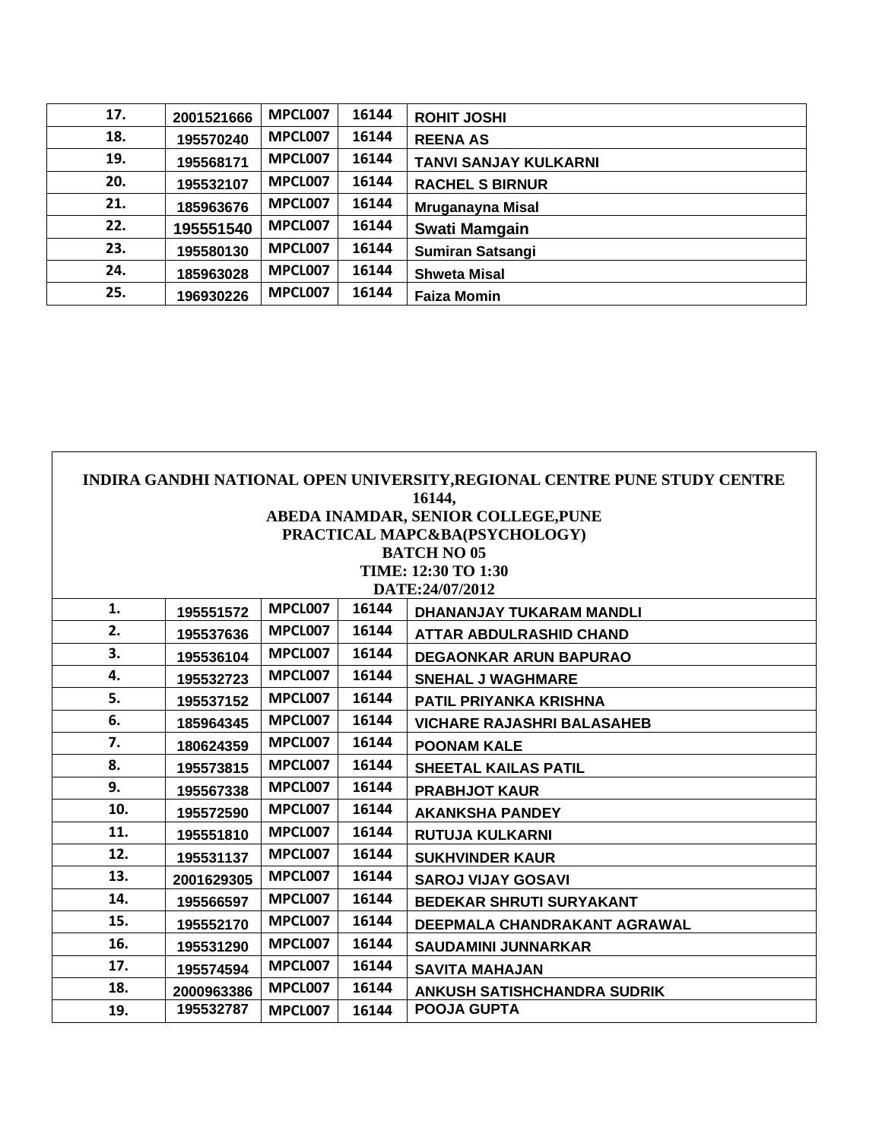| 17. | 2001521666 | MPCL007 | 16144 | <b>ROHIT JOSHI</b>           |
|-----|------------|---------|-------|------------------------------|
| 18. | 195570240  | MPCL007 | 16144 | <b>REENA AS</b>              |
| 19. | 195568171  | MPCL007 | 16144 | <b>TANVI SANJAY KULKARNI</b> |
| 20. | 195532107  | MPCL007 | 16144 | <b>RACHEL S BIRNUR</b>       |
| 21. | 185963676  | MPCL007 | 16144 | Mruganayna Misal             |
| 22. | 195551540  | MPCL007 | 16144 | Swati Mamgain                |
| 23. | 195580130  | MPCL007 | 16144 | <b>Sumiran Satsangi</b>      |
| 24. | 185963028  | MPCL007 | 16144 | <b>Shweta Misal</b>          |
| 25. | 196930226  | MPCL007 | 16144 | <b>Faiza Momin</b>           |

|     | INDIRA GANDHI NATIONAL OPEN UNIVERSITY, REGIONAL CENTRE PUNE STUDY CENTRE |                |       |                                    |  |  |  |  |
|-----|---------------------------------------------------------------------------|----------------|-------|------------------------------------|--|--|--|--|
|     | 16144,                                                                    |                |       |                                    |  |  |  |  |
|     | ABEDA INAMDAR, SENIOR COLLEGE, PUNE                                       |                |       |                                    |  |  |  |  |
|     | PRACTICAL MAPC&BA(PSYCHOLOGY)                                             |                |       |                                    |  |  |  |  |
|     |                                                                           |                |       | <b>BATCH NO 05</b>                 |  |  |  |  |
|     | TIME: 12:30 TO 1:30                                                       |                |       |                                    |  |  |  |  |
|     | DATE:24/07/2012                                                           |                |       |                                    |  |  |  |  |
| 1.  | 195551572                                                                 | MPCL007        | 16144 | <b>DHANANJAY TUKARAM MANDLI</b>    |  |  |  |  |
| 2.  | 195537636                                                                 | MPCL007        | 16144 | <b>ATTAR ABDULRASHID CHAND</b>     |  |  |  |  |
| 3.  | 195536104                                                                 | MPCL007        | 16144 | <b>DEGAONKAR ARUN BAPURAO</b>      |  |  |  |  |
| 4.  | 195532723                                                                 | MPCL007        | 16144 | <b>SNEHAL J WAGHMARE</b>           |  |  |  |  |
| 5.  | 195537152                                                                 | MPCL007        | 16144 | <b>PATIL PRIYANKA KRISHNA</b>      |  |  |  |  |
| 6.  | 185964345                                                                 | MPCL007        | 16144 | <b>VICHARE RAJASHRI BALASAHEB</b>  |  |  |  |  |
| 7.  | 180624359                                                                 | MPCL007        | 16144 | <b>POONAM KALE</b>                 |  |  |  |  |
| 8.  | 195573815                                                                 | MPCL007        | 16144 | SHEETAL KAILAS PATIL               |  |  |  |  |
| 9.  | 195567338                                                                 | MPCL007        | 16144 | <b>PRABHJOT KAUR</b>               |  |  |  |  |
| 10. | 195572590                                                                 | MPCL007        | 16144 | <b>AKANKSHA PANDEY</b>             |  |  |  |  |
| 11. | 195551810                                                                 | MPCL007        | 16144 | <b>RUTUJA KULKARNI</b>             |  |  |  |  |
| 12. | 195531137                                                                 | MPCL007        | 16144 | <b>SUKHVINDER KAUR</b>             |  |  |  |  |
| 13. | 2001629305                                                                | MPCL007        | 16144 | <b>SAROJ VIJAY GOSAVI</b>          |  |  |  |  |
| 14. | 195566597                                                                 | MPCL007        | 16144 | <b>BEDEKAR SHRUTI SURYAKANT</b>    |  |  |  |  |
| 15. | 195552170                                                                 | MPCL007        | 16144 | DEEPMALA CHANDRAKANT AGRAWAL       |  |  |  |  |
| 16. | 195531290                                                                 | MPCL007        | 16144 | <b>SAUDAMINI JUNNARKAR</b>         |  |  |  |  |
| 17. | 195574594                                                                 | <b>MPCL007</b> | 16144 | <b>SAVITA MAHAJAN</b>              |  |  |  |  |
| 18. | 2000963386                                                                | MPCL007        | 16144 | <b>ANKUSH SATISHCHANDRA SUDRIK</b> |  |  |  |  |
| 19. | 195532787                                                                 | MPCL007        | 16144 | <b>POOJA GUPTA</b>                 |  |  |  |  |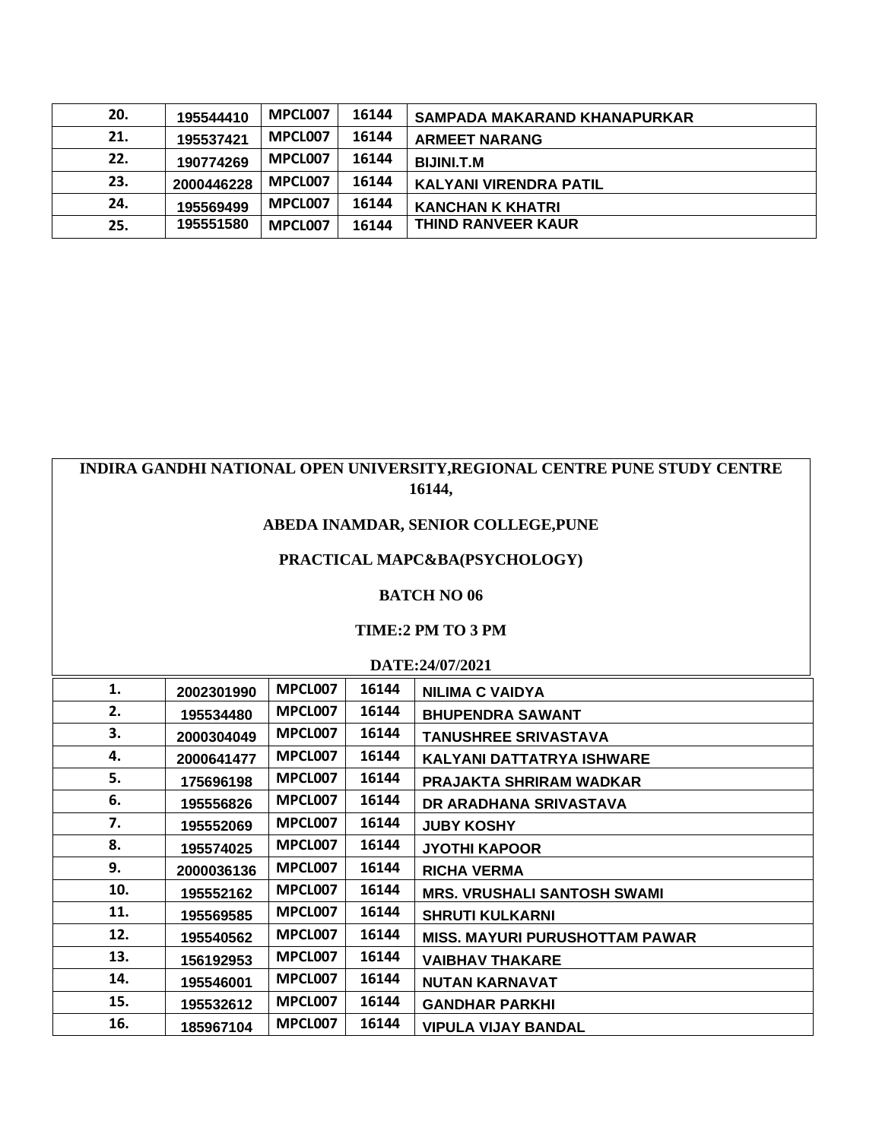| 20. | 195544410  | MPCL007 | 16144 | SAMPADA MAKARAND KHANAPURKAR  |
|-----|------------|---------|-------|-------------------------------|
| 21. | 195537421  | MPCL007 | 16144 | <b>ARMEET NARANG</b>          |
| 22. | 190774269  | MPCL007 | 16144 | <b>BIJINI.T.M</b>             |
| 23. | 2000446228 | MPCL007 | 16144 | <b>KALYANI VIRENDRA PATIL</b> |
| 24. | 195569499  | MPCL007 | 16144 | <b>KANCHAN K KHATRI</b>       |
| 25. | 195551580  | MPCL007 | 16144 | <b>THIND RANVEER KAUR</b>     |

# **INDIRA GANDHI NATIONAL OPEN UNIVERSITY,REGIONAL CENTRE PUNE STUDY CENTRE 16144,**

# **ABEDA INAMDAR, SENIOR COLLEGE,PUNE**

## **PRACTICAL MAPC&BA(PSYCHOLOGY)**

#### **BATCH NO 06**

#### **TIME:2 PM TO 3 PM**

**DATE:24/07/2021**

| 1.  | 2002301990 | MPCL007 | 16144 | <b>NILIMA C VAIDYA</b>                |
|-----|------------|---------|-------|---------------------------------------|
| 2.  | 195534480  | MPCL007 | 16144 | <b>BHUPENDRA SAWANT</b>               |
| 3.  | 2000304049 | MPCL007 | 16144 | <b>TANUSHREE SRIVASTAVA</b>           |
| 4.  | 2000641477 | MPCL007 | 16144 | <b>KALYANI DATTATRYA ISHWARE</b>      |
| 5.  | 175696198  | MPCL007 | 16144 | <b>PRAJAKTA SHRIRAM WADKAR</b>        |
| 6.  | 195556826  | MPCL007 | 16144 | DR ARADHANA SRIVASTAVA                |
| 7.  | 195552069  | MPCL007 | 16144 | <b>JUBY KOSHY</b>                     |
| 8.  | 195574025  | MPCL007 | 16144 | <b>JYOTHI KAPOOR</b>                  |
| 9.  | 2000036136 | MPCL007 | 16144 | <b>RICHA VERMA</b>                    |
| 10. | 195552162  | MPCL007 | 16144 | <b>MRS. VRUSHALI SANTOSH SWAMI</b>    |
| 11. | 195569585  | MPCL007 | 16144 | <b>SHRUTI KULKARNI</b>                |
| 12. | 195540562  | MPCL007 | 16144 | <b>MISS. MAYURI PURUSHOTTAM PAWAR</b> |
| 13. | 156192953  | MPCL007 | 16144 | <b>VAIBHAV THAKARE</b>                |
| 14. | 195546001  | MPCL007 | 16144 | <b>NUTAN KARNAVAT</b>                 |
| 15. | 195532612  | MPCL007 | 16144 | <b>GANDHAR PARKHI</b>                 |
| 16. | 185967104  | MPCL007 | 16144 | <b>VIPULA VIJAY BANDAL</b>            |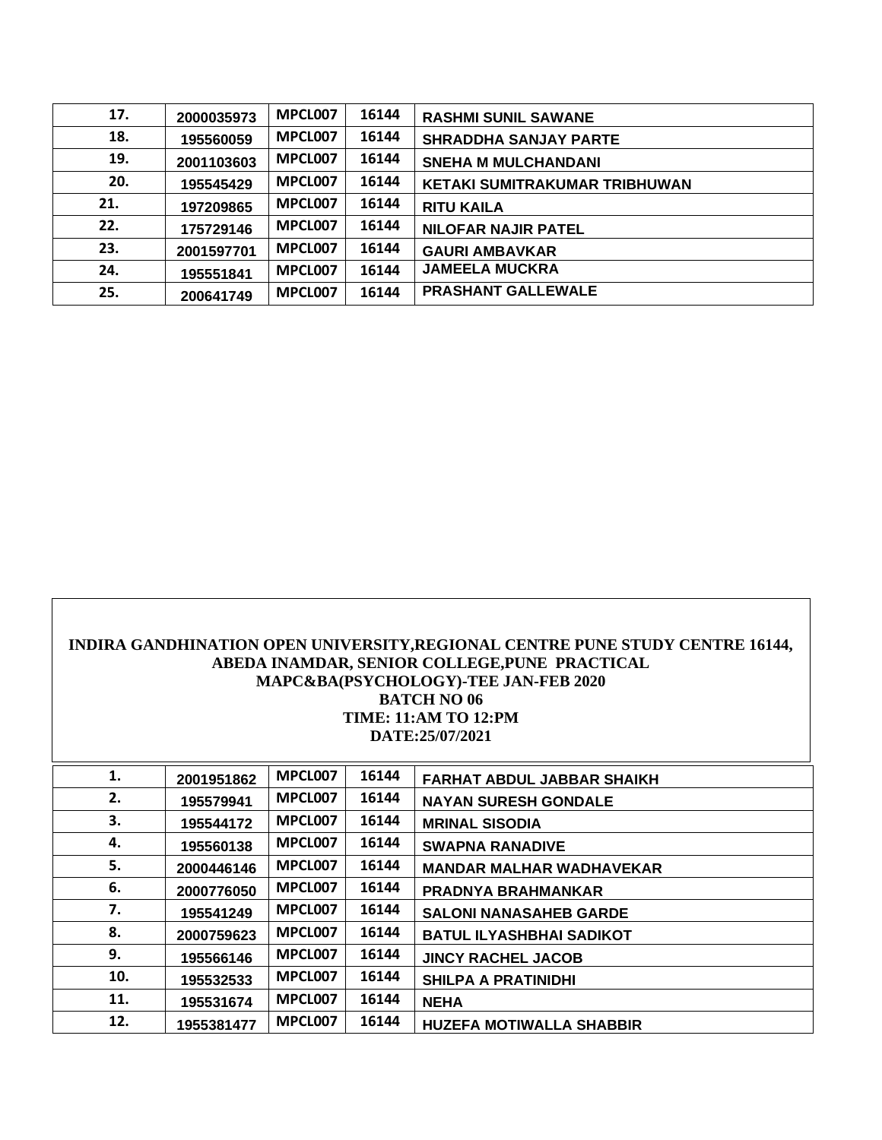| 17. | 2000035973 | MPCL007 | 16144 | <b>RASHMI SUNIL SAWANE</b>           |
|-----|------------|---------|-------|--------------------------------------|
| 18. | 195560059  | MPCL007 | 16144 | <b>SHRADDHA SANJAY PARTE</b>         |
| 19. | 2001103603 | MPCL007 | 16144 | <b>SNEHA M MULCHANDANI</b>           |
| 20. | 195545429  | MPCL007 | 16144 | <b>KETAKI SUMITRAKUMAR TRIBHUWAN</b> |
| 21. | 197209865  | MPCL007 | 16144 | <b>RITU KAILA</b>                    |
| 22. | 175729146  | MPCL007 | 16144 | <b>NILOFAR NAJIR PATEL</b>           |
| 23. | 2001597701 | MPCL007 | 16144 | <b>GAURI AMBAVKAR</b>                |
| 24. | 195551841  | MPCL007 | 16144 | <b>JAMEELA MUCKRA</b>                |
| 25. | 200641749  | MPCL007 | 16144 | <b>PRASHANT GALLEWALE</b>            |

| INDIRA GANDHINATION OPEN UNIVERSITY, REGIONAL CENTRE PUNE STUDY CENTRE 16144,<br>ABEDA INAMDAR, SENIOR COLLEGE, PUNE PRACTICAL<br>MAPC&BA(PSYCHOLOGY)-TEE JAN-FEB 2020<br><b>BATCH NO 06</b><br><b>TIME: 11:AM TO 12:PM</b><br>DATE:25/07/2021 |                                                             |         |       |                                   |  |  |  |
|------------------------------------------------------------------------------------------------------------------------------------------------------------------------------------------------------------------------------------------------|-------------------------------------------------------------|---------|-------|-----------------------------------|--|--|--|
| 1.                                                                                                                                                                                                                                             | 2001951862                                                  | MPCL007 | 16144 | <b>FARHAT ABDUL JABBAR SHAIKH</b> |  |  |  |
| 2.                                                                                                                                                                                                                                             | 195579941                                                   | MPCL007 | 16144 | <b>NAYAN SURESH GONDALE</b>       |  |  |  |
| 3.                                                                                                                                                                                                                                             | 195544172                                                   | MPCL007 | 16144 | <b>MRINAL SISODIA</b>             |  |  |  |
| 4.                                                                                                                                                                                                                                             | 195560138                                                   | MPCL007 | 16144 | <b>SWAPNA RANADIVE</b>            |  |  |  |
| 5.                                                                                                                                                                                                                                             | 2000446146                                                  | MPCL007 | 16144 | <b>MANDAR MALHAR WADHAVEKAR</b>   |  |  |  |
| 6.                                                                                                                                                                                                                                             | 2000776050                                                  | MPCL007 | 16144 | <b>PRADNYA BRAHMANKAR</b>         |  |  |  |
| 7.                                                                                                                                                                                                                                             | 195541249                                                   | MPCL007 | 16144 | <b>SALONI NANASAHEB GARDE</b>     |  |  |  |
| 8.                                                                                                                                                                                                                                             | 2000759623                                                  | MPCL007 | 16144 | <b>BATUL ILYASHBHAI SADIKOT</b>   |  |  |  |
| 9.                                                                                                                                                                                                                                             | 195566146                                                   | MPCL007 | 16144 | <b>JINCY RACHEL JACOB</b>         |  |  |  |
| 10.                                                                                                                                                                                                                                            | MPCL007<br>16144<br>195532533<br><b>SHILPA A PRATINIDHI</b> |         |       |                                   |  |  |  |
| 11.                                                                                                                                                                                                                                            | 195531674                                                   | MPCL007 | 16144 | <b>NEHA</b>                       |  |  |  |
| 12.                                                                                                                                                                                                                                            | 1955381477                                                  | MPCL007 | 16144 | <b>HUZEFA MOTIWALLA SHABBIR</b>   |  |  |  |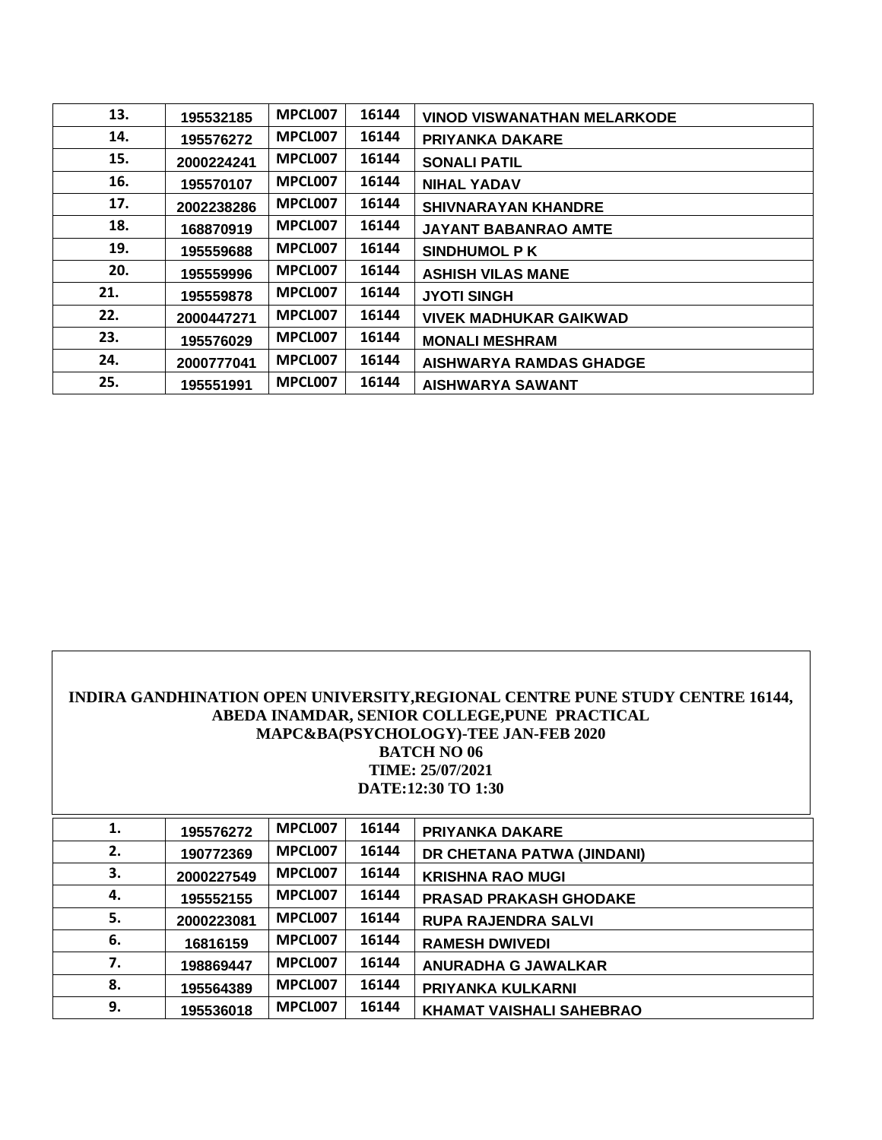| 13. | 195532185  | MPCL007 | 16144 | <b>VINOD VISWANATHAN MELARKODE</b> |
|-----|------------|---------|-------|------------------------------------|
| 14. | 195576272  | MPCL007 | 16144 | <b>PRIYANKA DAKARE</b>             |
| 15. | 2000224241 | MPCL007 | 16144 | <b>SONALI PATIL</b>                |
| 16. | 195570107  | MPCL007 | 16144 | <b>NIHAL YADAV</b>                 |
| 17. | 2002238286 | MPCL007 | 16144 | <b>SHIVNARAYAN KHANDRE</b>         |
| 18. | 168870919  | MPCL007 | 16144 | <b>JAYANT BABANRAO AMTE</b>        |
| 19. | 195559688  | MPCL007 | 16144 | <b>SINDHUMOL PK</b>                |
| 20. | 195559996  | MPCL007 | 16144 | <b>ASHISH VILAS MANE</b>           |
| 21. | 195559878  | MPCL007 | 16144 | <b>JYOTI SINGH</b>                 |
| 22. | 2000447271 | MPCL007 | 16144 | <b>VIVEK MADHUKAR GAIKWAD</b>      |
| 23. | 195576029  | MPCL007 | 16144 | <b>MONALI MESHRAM</b>              |
| 24. | 2000777041 | MPCL007 | 16144 | <b>AISHWARYA RAMDAS GHADGE</b>     |
| 25. | 195551991  | MPCL007 | 16144 | <b>AISHWARYA SAWANT</b>            |

### **INDIRA GANDHINATION OPEN UNIVERSITY,REGIONAL CENTRE PUNE STUDY CENTRE 16144, ABEDA INAMDAR, SENIOR COLLEGE,PUNE PRACTICAL MAPC&BA(PSYCHOLOGY)-TEE JAN-FEB 2020 BATCH NO 06 TIME: 25/07/2021 DATE:12:30 TO 1:30**

| 1. | 195576272  | MPCL007 | 16144 | <b>PRIYANKA DAKARE</b>          |
|----|------------|---------|-------|---------------------------------|
| 2. | 190772369  | MPCL007 | 16144 | DR CHETANA PATWA (JINDANI)      |
| 3. | 2000227549 | MPCL007 | 16144 | <b>KRISHNA RAO MUGI</b>         |
| 4. | 195552155  | MPCL007 | 16144 | <b>PRASAD PRAKASH GHODAKE</b>   |
| 5. | 2000223081 | MPCL007 | 16144 | <b>RUPA RAJENDRA SALVI</b>      |
| 6. | 16816159   | MPCL007 | 16144 | <b>RAMESH DWIVEDI</b>           |
| 7. | 198869447  | MPCL007 | 16144 | <b>ANURADHA G JAWALKAR</b>      |
| 8. | 195564389  | MPCL007 | 16144 | PRIYANKA KULKARNI               |
| 9. | 195536018  | MPCL007 | 16144 | <b>KHAMAT VAISHALI SAHEBRAO</b> |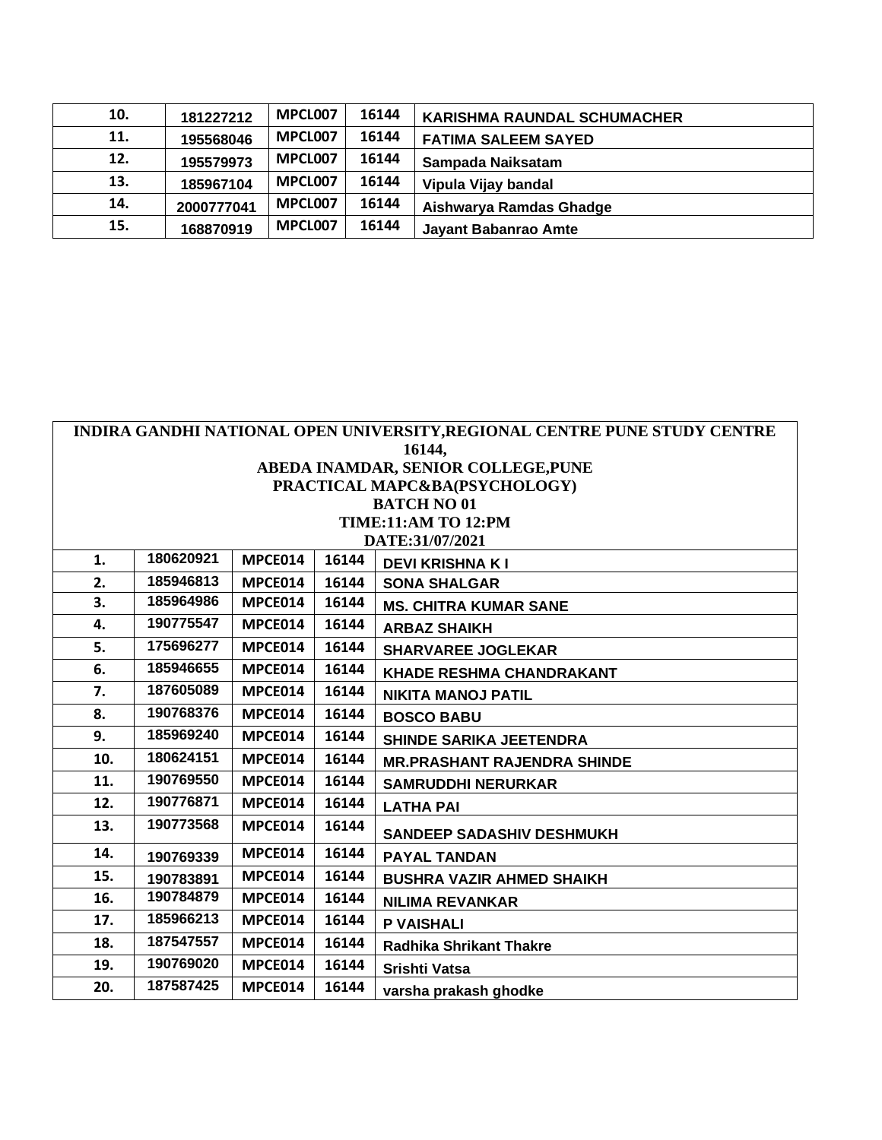| 10. | 181227212  | MPCL007 | 16144 | <b>KARISHMA RAUNDAL SCHUMACHER</b> |
|-----|------------|---------|-------|------------------------------------|
| 11. | 195568046  | MPCL007 | 16144 | <b>FATIMA SALEEM SAYED</b>         |
| 12. | 195579973  | MPCL007 | 16144 | Sampada Naiksatam                  |
| 13. | 185967104  | MPCL007 | 16144 | Vipula Vijay bandal                |
| 14. | 2000777041 | MPCL007 | 16144 | Aishwarya Ramdas Ghadge            |
| 15. | 168870919  | MPCL007 | 16144 | <b>Jayant Babanrao Amte</b>        |

|     | INDIRA GANDHI NATIONAL OPEN UNIVERSITY, REGIONAL CENTRE PUNE STUDY CENTRE |         |       |                                    |  |  |  |
|-----|---------------------------------------------------------------------------|---------|-------|------------------------------------|--|--|--|
|     |                                                                           |         |       | 16144,                             |  |  |  |
|     | ABEDA INAMDAR, SENIOR COLLEGE, PUNE                                       |         |       |                                    |  |  |  |
|     |                                                                           |         |       | PRACTICAL MAPC&BA(PSYCHOLOGY)      |  |  |  |
|     |                                                                           |         |       | <b>BATCH NO 01</b>                 |  |  |  |
|     |                                                                           |         |       | <b>TIME:11:AM TO 12:PM</b>         |  |  |  |
|     |                                                                           |         |       | DATE:31/07/2021                    |  |  |  |
| 1.  | 180620921                                                                 | MPCE014 | 16144 | <b>DEVI KRISHNA KI</b>             |  |  |  |
| 2.  | 185946813                                                                 | MPCE014 | 16144 | <b>SONA SHALGAR</b>                |  |  |  |
| 3.  | 185964986                                                                 | MPCE014 | 16144 | <b>MS. CHITRA KUMAR SANE</b>       |  |  |  |
| 4.  | 190775547                                                                 | MPCE014 | 16144 | <b>ARBAZ SHAIKH</b>                |  |  |  |
| 5.  | 175696277                                                                 | MPCE014 | 16144 | <b>SHARVAREE JOGLEKAR</b>          |  |  |  |
| 6.  | 185946655                                                                 | MPCE014 | 16144 | <b>KHADE RESHMA CHANDRAKANT</b>    |  |  |  |
| 7.  | 187605089                                                                 | MPCE014 | 16144 | <b>NIKITA MANOJ PATIL</b>          |  |  |  |
| 8.  | 190768376                                                                 | MPCE014 | 16144 | <b>BOSCO BABU</b>                  |  |  |  |
| 9.  | 185969240                                                                 | MPCE014 | 16144 | <b>SHINDE SARIKA JEETENDRA</b>     |  |  |  |
| 10. | 180624151                                                                 | MPCE014 | 16144 | <b>MR.PRASHANT RAJENDRA SHINDE</b> |  |  |  |
| 11. | 190769550                                                                 | MPCE014 | 16144 | <b>SAMRUDDHI NERURKAR</b>          |  |  |  |
| 12. | 190776871                                                                 | MPCE014 | 16144 | <b>LATHA PAI</b>                   |  |  |  |
| 13. | 190773568                                                                 | MPCE014 | 16144 | <b>SANDEEP SADASHIV DESHMUKH</b>   |  |  |  |
| 14. | 190769339                                                                 | MPCE014 | 16144 | <b>PAYAL TANDAN</b>                |  |  |  |
| 15. | 190783891                                                                 | MPCE014 | 16144 | <b>BUSHRA VAZIR AHMED SHAIKH</b>   |  |  |  |
| 16. | 190784879                                                                 | MPCE014 | 16144 | <b>NILIMA REVANKAR</b>             |  |  |  |
| 17. | 185966213                                                                 | MPCE014 | 16144 | <b>P VAISHALI</b>                  |  |  |  |
| 18. | 187547557                                                                 | MPCE014 | 16144 | <b>Radhika Shrikant Thakre</b>     |  |  |  |
| 19. | 190769020                                                                 | MPCE014 | 16144 | <b>Srishti Vatsa</b>               |  |  |  |
| 20. | 187587425                                                                 | MPCE014 | 16144 | varsha prakash ghodke              |  |  |  |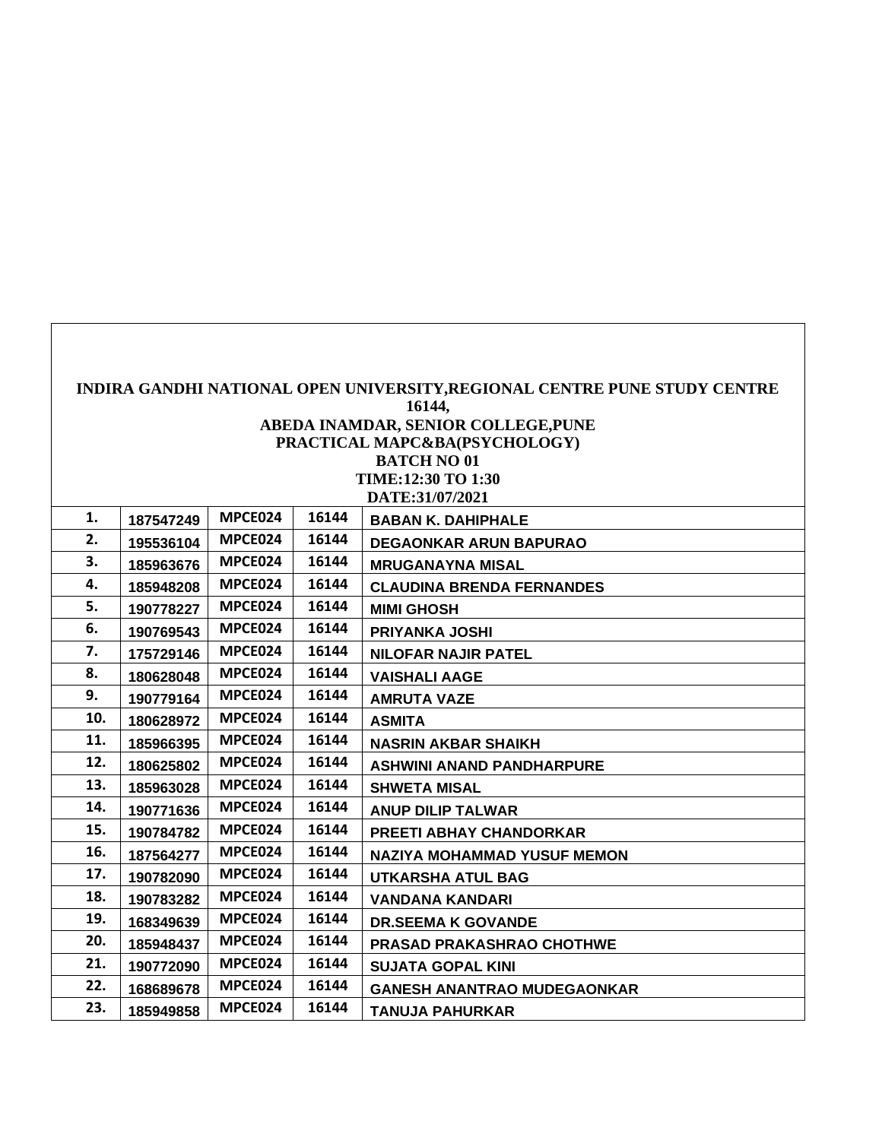|     | INDIRA GANDHI NATIONAL OPEN UNIVERSITY, REGIONAL CENTRE PUNE STUDY CENTRE |         |       |                                    |  |  |  |  |  |
|-----|---------------------------------------------------------------------------|---------|-------|------------------------------------|--|--|--|--|--|
|     | 16144,                                                                    |         |       |                                    |  |  |  |  |  |
|     | ABEDA INAMDAR, SENIOR COLLEGE, PUNE<br>PRACTICAL MAPC&BA(PSYCHOLOGY)      |         |       |                                    |  |  |  |  |  |
|     |                                                                           |         |       | <b>BATCH NO 01</b>                 |  |  |  |  |  |
|     |                                                                           |         |       | TIME:12:30 TO 1:30                 |  |  |  |  |  |
|     | DATE:31/07/2021                                                           |         |       |                                    |  |  |  |  |  |
| 1.  | 187547249                                                                 | MPCE024 | 16144 | <b>BABAN K. DAHIPHALE</b>          |  |  |  |  |  |
| 2.  | 195536104                                                                 | MPCE024 | 16144 | <b>DEGAONKAR ARUN BAPURAO</b>      |  |  |  |  |  |
| 3.  | 185963676                                                                 | MPCE024 | 16144 | <b>MRUGANAYNA MISAL</b>            |  |  |  |  |  |
| 4.  | 185948208                                                                 | MPCE024 | 16144 | <b>CLAUDINA BRENDA FERNANDES</b>   |  |  |  |  |  |
| 5.  | 190778227                                                                 | MPCE024 | 16144 | <b>MIMI GHOSH</b>                  |  |  |  |  |  |
| 6.  | 190769543                                                                 | MPCE024 | 16144 | <b>PRIYANKA JOSHI</b>              |  |  |  |  |  |
| 7.  | 175729146                                                                 | MPCE024 | 16144 | <b>NILOFAR NAJIR PATEL</b>         |  |  |  |  |  |
| 8.  | 180628048                                                                 | MPCE024 | 16144 | <b>VAISHALI AAGE</b>               |  |  |  |  |  |
| 9.  | 190779164                                                                 | MPCE024 | 16144 | <b>AMRUTA VAZE</b>                 |  |  |  |  |  |
| 10. | 180628972                                                                 | MPCE024 | 16144 | <b>ASMITA</b>                      |  |  |  |  |  |
| 11. | 185966395                                                                 | MPCE024 | 16144 | <b>NASRIN AKBAR SHAIKH</b>         |  |  |  |  |  |
| 12. | 180625802                                                                 | MPCE024 | 16144 | <b>ASHWINI ANAND PANDHARPURE</b>   |  |  |  |  |  |
| 13. | 185963028                                                                 | MPCE024 | 16144 | <b>SHWETA MISAL</b>                |  |  |  |  |  |
| 14. | 190771636                                                                 | MPCE024 | 16144 | <b>ANUP DILIP TALWAR</b>           |  |  |  |  |  |
| 15. | 190784782                                                                 | MPCE024 | 16144 | <b>PREETI ABHAY CHANDORKAR</b>     |  |  |  |  |  |
| 16. | 187564277                                                                 | MPCE024 | 16144 | <b>NAZIYA MOHAMMAD YUSUF MEMON</b> |  |  |  |  |  |
| 17. | 190782090                                                                 | MPCE024 | 16144 | <b>UTKARSHA ATUL BAG</b>           |  |  |  |  |  |
| 18. | 190783282                                                                 | MPCE024 | 16144 | <b>VANDANA KANDARI</b>             |  |  |  |  |  |
| 19. | 168349639                                                                 | MPCE024 | 16144 | <b>DR.SEEMA K GOVANDE</b>          |  |  |  |  |  |
| 20. | 185948437                                                                 | MPCE024 | 16144 | <b>PRASAD PRAKASHRAO CHOTHWE</b>   |  |  |  |  |  |
| 21. | 190772090                                                                 | MPCE024 | 16144 | <b>SUJATA GOPAL KINI</b>           |  |  |  |  |  |
| 22. | 168689678                                                                 | MPCE024 | 16144 | <b>GANESH ANANTRAO MUDEGAONKAR</b> |  |  |  |  |  |
| 23. | 185949858                                                                 | MPCE024 | 16144 | <b>TANUJA PAHURKAR</b>             |  |  |  |  |  |